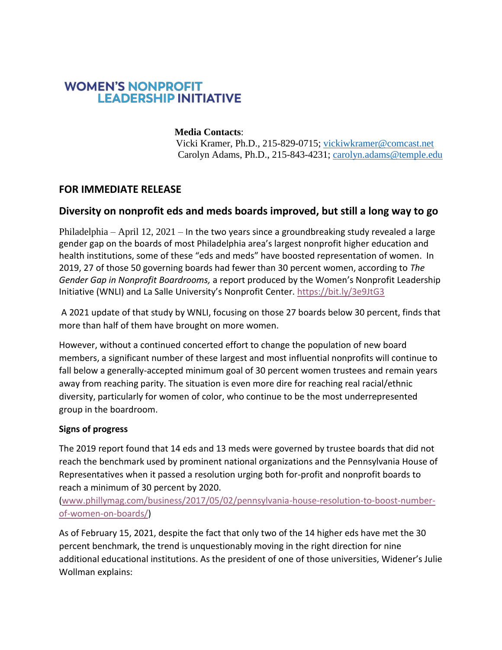# **WOMEN'S NONPROFIT LEADERSHIP INITIATIVE**

## **Media Contacts**:

 Vicki Kramer, Ph.D., 215-829-0715; [vickiwkramer@comcast.net](mailto:vickiwkramer@comcast.net) Carolyn Adams, Ph.D., 215-843-4231; [carolyn.adams@temple.edu](mailto:carolyn.adams@temple.edu)

## **FOR IMMEDIATE RELEASE**

## **Diversity on nonprofit eds and meds boards improved, but still a long way to go**

Philadelphia – April 12, 2021 – In the two years since a groundbreaking study revealed a large gender gap on the boards of most Philadelphia area's largest nonprofit higher education and health institutions, some of these "eds and meds" have boosted representation of women. In 2019, 27 of those 50 governing boards had fewer than 30 percent women, according to *The Gender Gap in Nonprofit Boardrooms,* a report produced by the Women's Nonprofit Leadership Initiative (WNLI) and La Salle University's Nonprofit Center. <https://bit.ly/3e9JtG3>

A 2021 update of that study by WNLI, focusing on those 27 boards below 30 percent, finds that more than half of them have brought on more women.

However, without a continued concerted effort to change the population of new board members, a significant number of these largest and most influential nonprofits will continue to fall below a generally-accepted minimum goal of 30 percent women trustees and remain years away from reaching parity. The situation is even more dire for reaching real racial/ethnic diversity, particularly for women of color, who continue to be the most underrepresented group in the boardroom.

#### **Signs of progress**

The 2019 report found that 14 eds and 13 meds were governed by trustee boards that did not reach the benchmark used by prominent national organizations and the Pennsylvania House of Representatives when it passed a resolution urging both for-profit and nonprofit boards to reach a minimum of 30 percent by 2020.

[\(www.phillymag.com/business/2017/05/02/pennsylvania-house-resolution-to-boost-number](http://www.phillymag.com/business/2017/05/02/pennsylvania-house-resolution-to-boost-number-of-women-on-boards/)[of-women-on-boards/\)](http://www.phillymag.com/business/2017/05/02/pennsylvania-house-resolution-to-boost-number-of-women-on-boards/)

As of February 15, 2021, despite the fact that only two of the 14 higher eds have met the 30 percent benchmark, the trend is unquestionably moving in the right direction for nine additional educational institutions. As the president of one of those universities, Widener's Julie Wollman explains: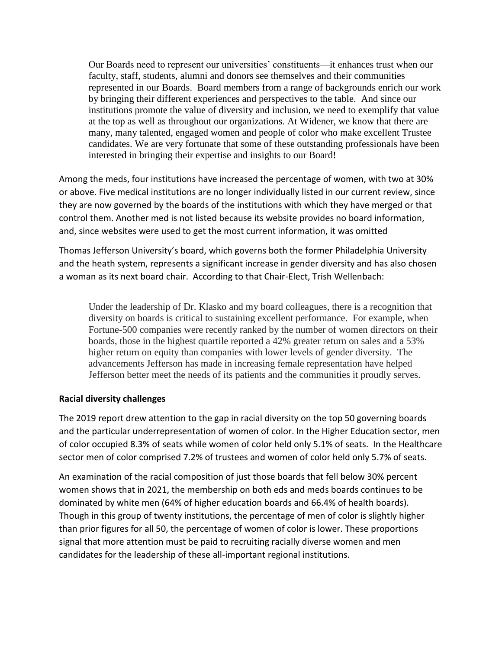Our Boards need to represent our universities' constituents—it enhances trust when our faculty, staff, students, alumni and donors see themselves and their communities represented in our Boards. Board members from a range of backgrounds enrich our work by bringing their different experiences and perspectives to the table. And since our institutions promote the value of diversity and inclusion, we need to exemplify that value at the top as well as throughout our organizations. At Widener, we know that there are many, many talented, engaged women and people of color who make excellent Trustee candidates. We are very fortunate that some of these outstanding professionals have been interested in bringing their expertise and insights to our Board!

Among the meds, four institutions have increased the percentage of women, with two at 30% or above. Five medical institutions are no longer individually listed in our current review, since they are now governed by the boards of the institutions with which they have merged or that control them. Another med is not listed because its website provides no board information, and, since websites were used to get the most current information, it was omitted

Thomas Jefferson University's board, which governs both the former Philadelphia University and the heath system, represents a significant increase in gender diversity and has also chosen a woman as its next board chair. According to that Chair-Elect, Trish Wellenbach:

Under the leadership of Dr. Klasko and my board colleagues, there is a recognition that diversity on boards is critical to sustaining excellent performance. For example, when Fortune-500 companies were recently ranked by the number of women directors on their boards, those in the highest quartile reported a 42% greater return on sales and a 53% higher return on equity than companies with lower levels of gender diversity. The advancements Jefferson has made in increasing female representation have helped Jefferson better meet the needs of its patients and the communities it proudly serves.

#### **Racial diversity challenges**

The 2019 report drew attention to the gap in racial diversity on the top 50 governing boards and the particular underrepresentation of women of color. In the Higher Education sector, men of color occupied 8.3% of seats while women of color held only 5.1% of seats. In the Healthcare sector men of color comprised 7.2% of trustees and women of color held only 5.7% of seats.

An examination of the racial composition of just those boards that fell below 30% percent women shows that in 2021, the membership on both eds and meds boards continues to be dominated by white men (64% of higher education boards and 66.4% of health boards). Though in this group of twenty institutions, the percentage of men of color is slightly higher than prior figures for all 50, the percentage of women of color is lower. These proportions signal that more attention must be paid to recruiting racially diverse women and men candidates for the leadership of these all-important regional institutions.